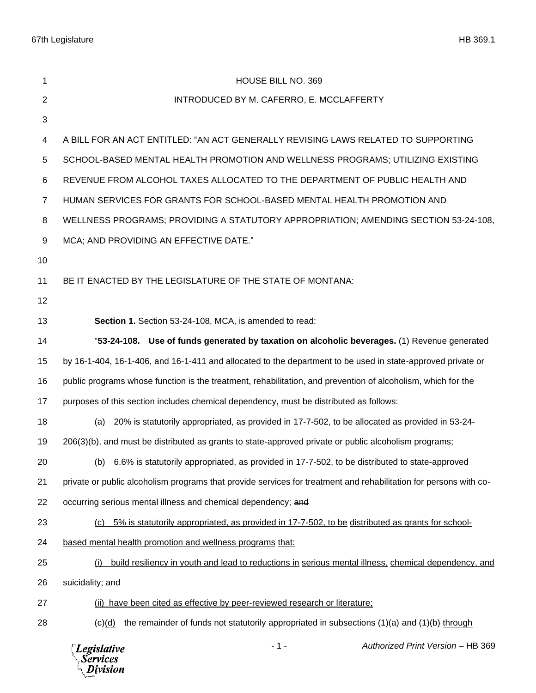| 1              | HOUSE BILL NO. 369                                                                                                      |
|----------------|-------------------------------------------------------------------------------------------------------------------------|
| 2              | INTRODUCED BY M. CAFERRO, E. MCCLAFFERTY                                                                                |
| 3              |                                                                                                                         |
| 4              | A BILL FOR AN ACT ENTITLED: "AN ACT GENERALLY REVISING LAWS RELATED TO SUPPORTING                                       |
| 5              | SCHOOL-BASED MENTAL HEALTH PROMOTION AND WELLNESS PROGRAMS; UTILIZING EXISTING                                          |
| 6              | REVENUE FROM ALCOHOL TAXES ALLOCATED TO THE DEPARTMENT OF PUBLIC HEALTH AND                                             |
| $\overline{7}$ | HUMAN SERVICES FOR GRANTS FOR SCHOOL-BASED MENTAL HEALTH PROMOTION AND                                                  |
| 8              | WELLNESS PROGRAMS; PROVIDING A STATUTORY APPROPRIATION; AMENDING SECTION 53-24-108,                                     |
| 9              | MCA; AND PROVIDING AN EFFECTIVE DATE."                                                                                  |
| 10             |                                                                                                                         |
| 11             | BE IT ENACTED BY THE LEGISLATURE OF THE STATE OF MONTANA:                                                               |
| 12             |                                                                                                                         |
| 13             | Section 1. Section 53-24-108, MCA, is amended to read:                                                                  |
| 14             | "53-24-108. Use of funds generated by taxation on alcoholic beverages. (1) Revenue generated                            |
| 15             | by 16-1-404, 16-1-406, and 16-1-411 and allocated to the department to be used in state-approved private or             |
| 16             | public programs whose function is the treatment, rehabilitation, and prevention of alcoholism, which for the            |
| 17             | purposes of this section includes chemical dependency, must be distributed as follows:                                  |
| 18             | 20% is statutorily appropriated, as provided in 17-7-502, to be allocated as provided in 53-24-<br>(a)                  |
| 19             | 206(3)(b), and must be distributed as grants to state-approved private or public alcoholism programs;                   |
| 20             | (b) 6.6% is statutorily appropriated, as provided in 17-7-502, to be distributed to state-approved                      |
| 21             | private or public alcoholism programs that provide services for treatment and rehabilitation for persons with co-       |
| 22             | occurring serious mental illness and chemical dependency; and                                                           |
| 23             | 5% is statutorily appropriated, as provided in 17-7-502, to be distributed as grants for school-<br>(c)                 |
| 24             | based mental health promotion and wellness programs that:                                                               |
| 25             | build resiliency in youth and lead to reductions in serious mental illness, chemical dependency, and<br>(i)             |
| 26             | suicidality; and                                                                                                        |
| 27             | (ii) have been cited as effective by peer-reviewed research or literature;                                              |
| 28             | the remainder of funds not statutorily appropriated in subsections $(1)(a)$ and $(1)(b)$ through<br>$\overline{(e)(d)}$ |
|                | $-1-$<br>Authorized Print Version - HB 369<br><b>Legislative</b><br><b>Services</b><br>Division                         |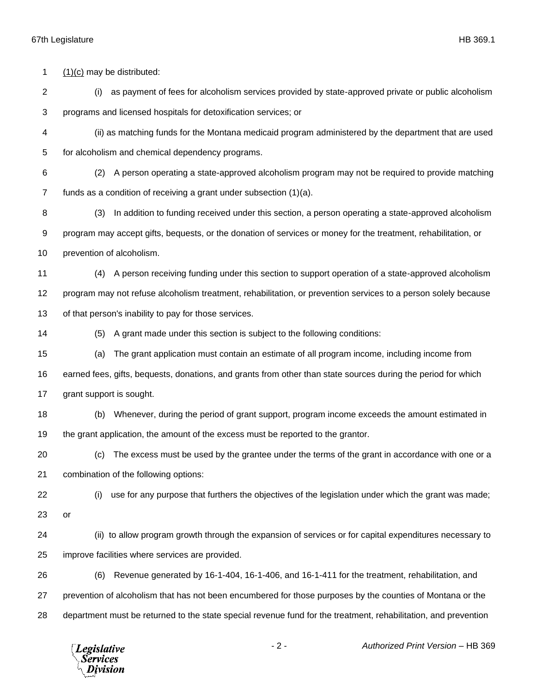## 67th Legislature HB 369.1

 (1)(c) may be distributed: (i) as payment of fees for alcoholism services provided by state-approved private or public alcoholism programs and licensed hospitals for detoxification services; or (ii) as matching funds for the Montana medicaid program administered by the department that are used for alcoholism and chemical dependency programs. (2) A person operating a state-approved alcoholism program may not be required to provide matching funds as a condition of receiving a grant under subsection (1)(a). (3) In addition to funding received under this section, a person operating a state-approved alcoholism program may accept gifts, bequests, or the donation of services or money for the treatment, rehabilitation, or prevention of alcoholism. (4) A person receiving funding under this section to support operation of a state-approved alcoholism program may not refuse alcoholism treatment, rehabilitation, or prevention services to a person solely because of that person's inability to pay for those services. (5) A grant made under this section is subject to the following conditions: (a) The grant application must contain an estimate of all program income, including income from earned fees, gifts, bequests, donations, and grants from other than state sources during the period for which grant support is sought. (b) Whenever, during the period of grant support, program income exceeds the amount estimated in the grant application, the amount of the excess must be reported to the grantor. (c) The excess must be used by the grantee under the terms of the grant in accordance with one or a combination of the following options: (i) use for any purpose that furthers the objectives of the legislation under which the grant was made; or (ii) to allow program growth through the expansion of services or for capital expenditures necessary to improve facilities where services are provided. (6) Revenue generated by 16-1-404, 16-1-406, and 16-1-411 for the treatment, rehabilitation, and prevention of alcoholism that has not been encumbered for those purposes by the counties of Montana or the department must be returned to the state special revenue fund for the treatment, rehabilitation, and prevention